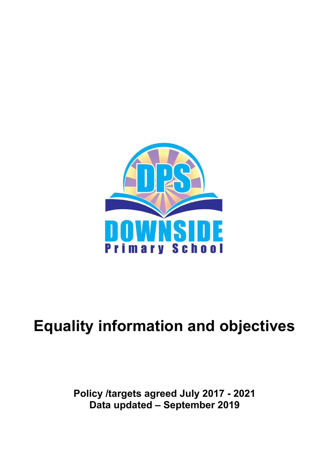

# **Equality information and objectives**

## **Policy /targets agreed July 2017 - 2021 Data updated – September 2019**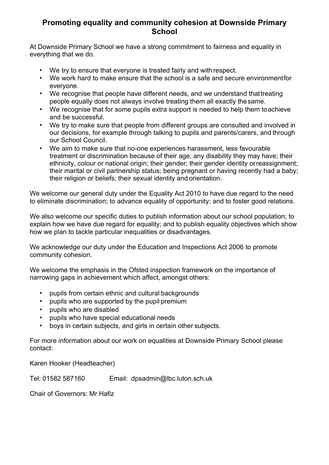### **Promoting equality and community cohesion at Downside Primary School**

At Downside Primary School we have a strong commitment to fairness and equality in everything that we do.

- We try to ensure that everyone is treated fairly and with respect.
- We work hard to make ensure that the school is a safe and secure environmentfor everyone.
- We recognise that people have different needs, and we understand thattreating people equally does not always involve treating them all exactly thesame.
- We recognise that for some pupils extra support is needed to help them toachieve and be successful.
- We try to make sure that people from different groups are consulted and involved in our decisions, for example through talking to pupils and parents/carers, and through our School Council.
- We aim to make sure that no-one experiences harassment, less favourable treatment or discrimination because of their age; any disability they may have; their ethnicity, colour or national origin; their gender; their gender identity orreassignment; their marital or civil partnership status; being pregnant or having recently had a baby; their religion or beliefs; their sexual identity and orientation.

We welcome our general duty under the Equality Act 2010 to have due regard to the need to eliminate discrimination; to advance equality of opportunity; and to foster good relations.

We also welcome our specific duties to publish information about our school population; to explain how we have due regard for equality; and to publish equality objectives which show how we plan to tackle particular inequalities or disadvantages.

We acknowledge our duty under the Education and Inspections Act 2006 to promote community cohesion.

We welcome the emphasis in the Ofsted inspection framework on the importance of narrowing gaps in achievement which affect, amongst others:

- pupils from certain ethnic and cultural backgrounds
- pupils who are supported by the pupil premium
- pupils who are disabled
- pupils who have special educational needs
- boys in certain subjects, and girls in certain other subjects.

For more information about our work on equalities at Downside Primary School please contact:

Karen Hooker (Headteacher)

Tel: 01582 587160 Email: dpsadmin@lbc.luton.sch.uk

Chair of Governors: Mr Hafiz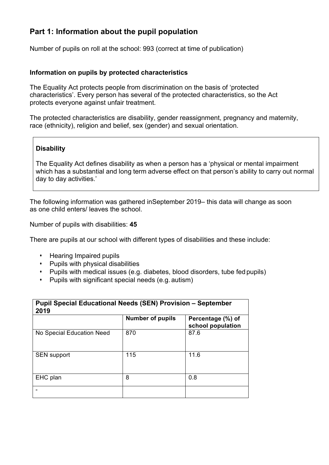## **Part 1: Information about the pupil population**

Number of pupils on roll at the school: 993 (correct at time of publication)

#### **Information on pupils by protected characteristics**

The Equality Act protects people from discrimination on the basis of 'protected characteristics'. Every person has several of the protected characteristics, so the Act protects everyone against unfair treatment.

The protected characteristics are disability, gender reassignment, pregnancy and maternity, race (ethnicity), religion and belief, sex (gender) and sexual orientation.

#### **Disability**

The Equality Act defines disability as when a person has a 'physical or mental impairment which has a substantial and long term adverse effect on that person's ability to carry out normal day to day activities.'

The following information was gathered inSeptember 2019– this data will change as soon as one child enters/ leaves the school.

Number of pupils with disabilities: **45**

There are pupils at our school with different types of disabilities and these include:

- Hearing Impaired pupils
- Pupils with physical disabilities
- Pupils with medical issues (e.g. diabetes, blood disorders, tube fed pupils)
- Pupils with significant special needs (e.g. autism)

| <b>Pupil Special Educational Needs (SEN) Provision - September</b><br>2019 |                         |                                        |  |  |
|----------------------------------------------------------------------------|-------------------------|----------------------------------------|--|--|
|                                                                            | <b>Number of pupils</b> | Percentage (%) of<br>school population |  |  |
| No Special Education Need                                                  | 870                     | 87.6                                   |  |  |
| <b>SEN support</b>                                                         | 115                     | 11.6                                   |  |  |
| EHC plan                                                                   | 8                       | 0.8                                    |  |  |
|                                                                            |                         |                                        |  |  |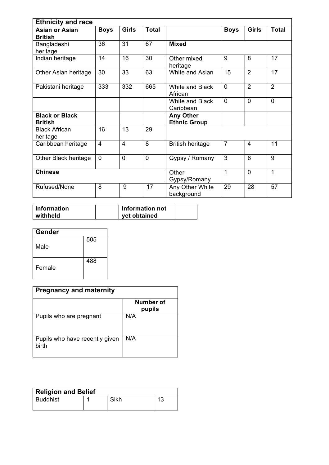| <b>Ethnicity and race</b>               |                         |                 |              |                                         |                 |                |                 |
|-----------------------------------------|-------------------------|-----------------|--------------|-----------------------------------------|-----------------|----------------|-----------------|
| <b>Asian or Asian</b><br><b>British</b> | <b>Boys</b>             | <b>Girls</b>    | <b>Total</b> |                                         | <b>Boys</b>     | <b>Girls</b>   | <b>Total</b>    |
| Bangladeshi<br>heritage                 | 36                      | 31              | 67           | <b>Mixed</b>                            |                 |                |                 |
| Indian heritage                         | 14                      | 16              | 30           | Other mixed<br>heritage                 | 9               | 8              | 17              |
| Other Asian heritage                    | 30                      | $\overline{33}$ | 63           | White and Asian                         | $\overline{15}$ | $\overline{2}$ | $\overline{17}$ |
| Pakistani heritage                      | 333                     | 332             | 665          | White and Black<br>African              | $\mathbf{0}$    | $\overline{2}$ | $\overline{2}$  |
|                                         |                         |                 |              | White and Black<br>Caribbean            | $\overline{0}$  | $\overline{0}$ | $\overline{0}$  |
| <b>Black or Black</b><br><b>British</b> |                         |                 |              | <b>Any Other</b><br><b>Ethnic Group</b> |                 |                |                 |
| <b>Black African</b><br>heritage        | 16                      | 13              | 29           |                                         |                 |                |                 |
| Caribbean heritage                      | $\overline{\mathbf{4}}$ | $\overline{4}$  | 8            | <b>British heritage</b>                 | $\overline{7}$  | $\overline{4}$ | 11              |
| Other Black heritage                    | $\overline{0}$          | $\mathbf 0$     | $\mathbf 0$  | Gypsy / Romany                          | 3               | 6              | 9               |
| <b>Chinese</b>                          |                         |                 |              | Other<br>Gypsy/Romany                   | 1               | $\mathbf 0$    | $\mathbf{1}$    |
| Rufused/None                            | 8                       | 9               | 17           | Any Other White<br>background           | 29              | 28             | 57              |

| <b>Information</b> | Information not |  |
|--------------------|-----------------|--|
| withheld           | vet obtained    |  |

| Gender |     |
|--------|-----|
| Male   | 505 |
| Female | 488 |

| <b>Pregnancy and maternity</b>          |                     |  |  |  |
|-----------------------------------------|---------------------|--|--|--|
|                                         | Number of<br>pupils |  |  |  |
| Pupils who are pregnant                 | N/A                 |  |  |  |
| Pupils who have recently given<br>birth | N/A                 |  |  |  |

| <b>Religion and Belief</b> |  |      |    |  |
|----------------------------|--|------|----|--|
| <b>Buddhist</b>            |  | Sikh | 13 |  |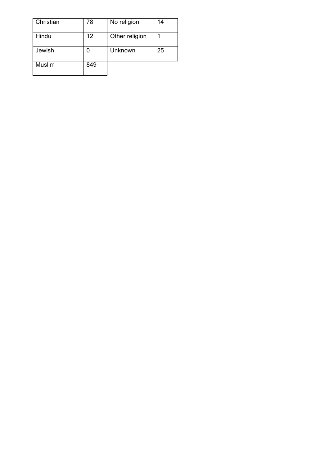| Christian | 78  | No religion    | 14 |
|-----------|-----|----------------|----|
| Hindu     | 12  | Other religion |    |
| Jewish    |     | Unknown        | 25 |
| Muslim    | 849 |                |    |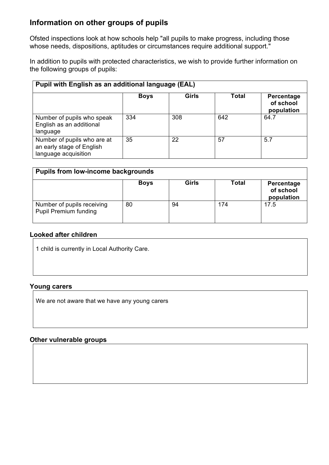## **Information on other groups of pupils**

Ofsted inspections look at how schools help "all pupils to make progress, including those whose needs, dispositions, aptitudes or circumstances require additional support."

In addition to pupils with protected characteristics, we wish to provide further information on the following groups of pupils:

| Pupil with English as an additional language (EAL)                               |             |       |       |                                       |  |  |
|----------------------------------------------------------------------------------|-------------|-------|-------|---------------------------------------|--|--|
|                                                                                  | <b>Boys</b> | Girls | Total | Percentage<br>of school<br>population |  |  |
| Number of pupils who speak<br>English as an additional<br>language               | 334         | 308   | 642   | 64.7                                  |  |  |
| Number of pupils who are at<br>an early stage of English<br>language acquisition | 35          | 22    | 57    | 5.7                                   |  |  |

| <b>Pupils from low-income backgrounds</b>                  |             |       |       |                                       |  |
|------------------------------------------------------------|-------------|-------|-------|---------------------------------------|--|
|                                                            | <b>Boys</b> | Girls | Total | Percentage<br>of school<br>population |  |
| Number of pupils receiving<br><b>Pupil Premium funding</b> | 80          | 94    | 174   | 17.5                                  |  |

#### **Looked after children**

1 child is currently in Local Authority Care.

#### **Young carers**

We are not aware that we have any young carers

#### **Other vulnerable groups**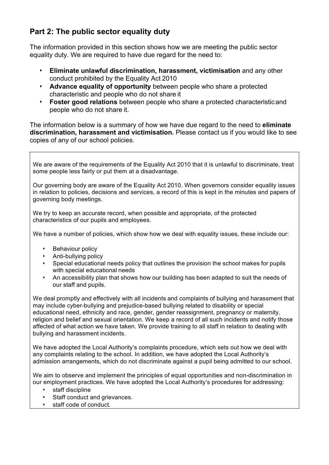## **Part 2: The public sector equality duty**

The information provided in this section shows how we are meeting the public sector equality duty. We are required to have due regard for the need to:

- **Eliminate unlawful discrimination, harassment, victimisation** and any other conduct prohibited by the Equality Act 2010
- **Advance equality of opportunity** between people who share a protected characteristic and people who do not share it
- **Foster good relations** between people who share a protected characteristic and people who do not share it.

The information below is a summary of how we have due regard to the need to **eliminate discrimination, harassment and victimisation.** Please contact us if you would like to see copies of any of our school policies.

We are aware of the requirements of the Equality Act 2010 that it is unlawful to discriminate, treat some people less fairly or put them at a disadvantage.

Our governing body are aware of the Equality Act 2010. When governors consider equality issues in relation to policies, decisions and services, a record of this is kept in the minutes and papers of governing body meetings.

We try to keep an accurate record, when possible and appropriate, of the protected characteristics of our pupils and employees.

We have a number of policies, which show how we deal with equality issues, these include our:

- Behaviour policy
- Anti-bullying policy
- Special educational needs policy that outlines the provision the school makes for pupils with special educational needs
- An accessibility plan that shows how our building has been adapted to suit the needs of our staff and pupils.

We deal promptly and effectively with all incidents and complaints of bullying and harassment that may include cyber-bullying and prejudice-based bullying related to disability or special educational need, ethnicity and race, gender, gender reassignment, pregnancy or maternity, religion and belief and sexual orientation. We keep a record of all such incidents and notify those affected of what action we have taken. We provide training to all staff in relation to dealing with bullying and harassment incidents.

We have adopted the Local Authority's complaints procedure, which sets out how we deal with any complaints relating to the school. In addition, we have adopted the Local Authority's admission arrangements, which do not discriminate against a pupil being admitted to our school.

We aim to observe and implement the principles of equal opportunities and non-discrimination in our employment practices. We have adopted the Local Authority's procedures for addressing:

- staff discipline
- Staff conduct and grievances.
- staff code of conduct.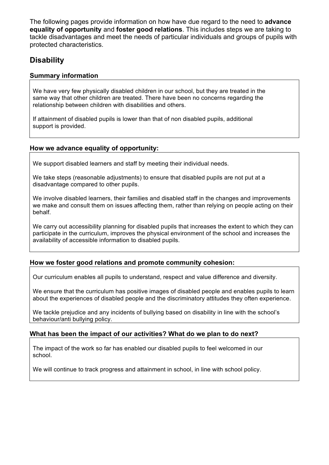The following pages provide information on how have due regard to the need to **advance equality of opportunity** and **foster good relations**. This includes steps we are taking to tackle disadvantages and meet the needs of particular individuals and groups of pupils with protected characteristics.

## **Disability**

#### **Summary information**

We have very few physically disabled children in our school, but they are treated in the same way that other children are treated. There have been no concerns regarding the relationship between children with disabilities and others.

If attainment of disabled pupils is lower than that of non disabled pupils, additional support is provided.

#### **How we advance equality of opportunity:**

We support disabled learners and staff by meeting their individual needs.

We take steps (reasonable adjustments) to ensure that disabled pupils are not put at a disadvantage compared to other pupils.

We involve disabled learners, their families and disabled staff in the changes and improvements we make and consult them on issues affecting them, rather than relying on people acting on their behalf.

We carry out accessibility planning for disabled pupils that increases the extent to which they can participate in the curriculum, improves the physical environment of the school and increases the availability of accessible information to disabled pupils.

#### **How we foster good relations and promote community cohesion:**

Our curriculum enables all pupils to understand, respect and value difference and diversity.

We ensure that the curriculum has positive images of disabled people and enables pupils to learn about the experiences of disabled people and the discriminatory attitudes they often experience.

We tackle prejudice and any incidents of bullying based on disability in line with the school's behaviour/anti bullying policy.

#### **What has been the impact of our activities? What do we plan to do next?**

The impact of the work so far has enabled our disabled pupils to feel welcomed in our school.

We will continue to track progress and attainment in school, in line with school policy.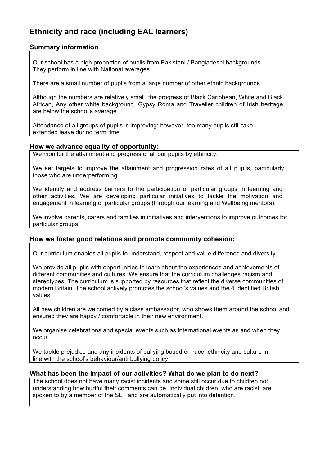## **Ethnicity and race (including EAL learners)**

#### **Summary information**

Our school has a high proportion of pupils from Pakistani / Bangladeshi backgrounds. They perform in line with National averages.

There are a small number of pupils from a large number of other ethnic backgrounds.

Although the numbers are relatively small, the progress of Black Caribbean, White and Black African, Any other white background, Gypsy Roma and Traveller children of Irish heritage are below the school's average.

Attendance of all groups of pupils is improving; however, too many pupils still take extended leave during term time.

#### **How we advance equality of opportunity:**

We monitor the attainment and progress of all our pupils by ethnicity.

We set targets to improve the attainment and progression rates of all pupils, particularly those who are underperforming.

We identify and address barriers to the participation of particular groups in learning and other activities. We are developing particular initiatives to tackle the motivation and engagement in learning of particular groups (through our learning and Wellbeing mentors).

We involve parents, carers and families in initiatives and interventions to improve outcomes for particular groups.

#### **How we foster good relations and promote community cohesion:**

Our curriculum enables all pupils to understand, respect and value difference and diversity.

We provide all pupils with opportunities to learn about the experiences and achievements of different communities and cultures. We ensure that the curriculum challenges racism and stereotypes. The curriculum is supported by resources that reflect the diverse communities of modern Britain. The school actively promotes the school's values and the 4 identified British values.

All new children are welcomed by a class ambassador, who shows them around the school and ensured they are happy / comfortable in their new environment.

We organise celebrations and special events such as international events as and when they occur.

We tackle prejudice and any incidents of bullying based on race, ethnicity and culture in line with the school's behaviour/anti bullying policy.

#### **What has been the impact of our activities? What do we plan to do next?**

The school does not have many racist incidents and some still occur due to children not understanding how hurtful their comments can be. Individual children, who are racist, are spoken to by a member of the SLT and are automatically put into detention.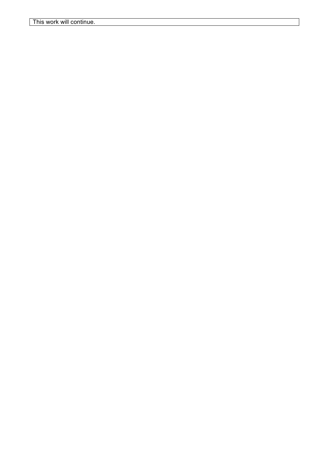This work will continue.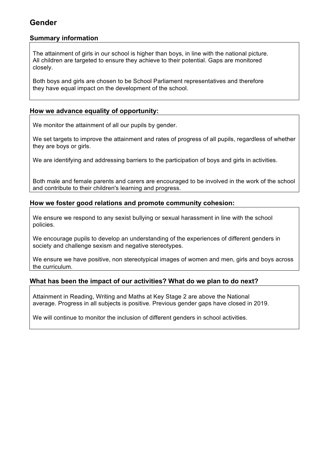## **Gender**

#### **Summary information**

The attainment of girls in our school is higher than boys, in line with the national picture. All children are targeted to ensure they achieve to their potential. Gaps are monitored closely.

Both boys and girls are chosen to be School Parliament representatives and therefore they have equal impact on the development of the school.

#### **How we advance equality of opportunity:**

We monitor the attainment of all our pupils by gender.

We set targets to improve the attainment and rates of progress of all pupils, regardless of whether they are boys or girls.

We are identifying and addressing barriers to the participation of boys and girls in activities.

Both male and female parents and carers are encouraged to be involved in the work of the school and contribute to their children's learning and progress.

#### **How we foster good relations and promote community cohesion:**

We ensure we respond to any sexist bullying or sexual harassment in line with the school policies.

We encourage pupils to develop an understanding of the experiences of different genders in society and challenge sexism and negative stereotypes.

We ensure we have positive, non stereotypical images of women and men, girls and boys across the curriculum.

#### **What has been the impact of our activities? What do we plan to do next?**

Attainment in Reading, Writing and Maths at Key Stage 2 are above the National average. Progress in all subjects is positive. Previous gender gaps have closed in 2019.

We will continue to monitor the inclusion of different genders in school activities.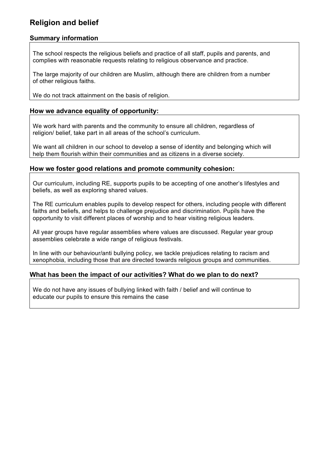## **Religion and belief**

#### **Summary information**

The school respects the religious beliefs and practice of all staff, pupils and parents, and complies with reasonable requests relating to religious observance and practice.

The large majority of our children are Muslim, although there are children from a number of other religious faiths.

We do not track attainment on the basis of religion.

#### **How we advance equality of opportunity:**

We work hard with parents and the community to ensure all children, regardless of religion/ belief, take part in all areas of the school's curriculum.

We want all children in our school to develop a sense of identity and belonging which will help them flourish within their communities and as citizens in a diverse society.

#### **How we foster good relations and promote community cohesion:**

Our curriculum, including RE, supports pupils to be accepting of one another's lifestyles and beliefs, as well as exploring shared values.

The RE curriculum enables pupils to develop respect for others, including people with different faiths and beliefs, and helps to challenge prejudice and discrimination. Pupils have the opportunity to visit different places of worship and to hear visiting religious leaders.

All year groups have regular assemblies where values are discussed. Regular year group assemblies celebrate a wide range of religious festivals.

In line with our behaviour/anti bullying policy, we tackle prejudices relating to racism and xenophobia, including those that are directed towards religious groups and communities.

#### **What has been the impact of our activities? What do we plan to do next?**

We do not have any issues of bullying linked with faith / belief and will continue to educate our pupils to ensure this remains the case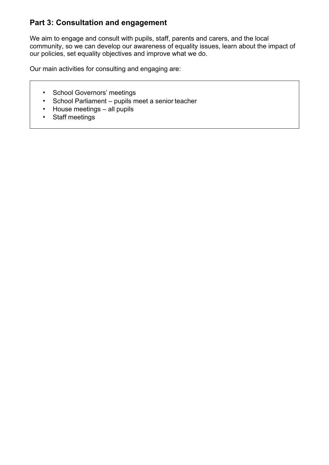## **Part 3: Consultation and engagement**

We aim to engage and consult with pupils, staff, parents and carers, and the local community, so we can develop our awareness of equality issues, learn about the impact of our policies, set equality objectives and improve what we do.

Our main activities for consulting and engaging are:

- School Governors' meetings
- School Parliament pupils meet a senior teacher
- House meetings all pupils
- Staff meetings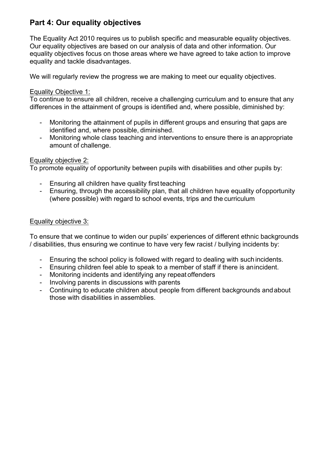## **Part 4: Our equality objectives**

The Equality Act 2010 requires us to publish specific and measurable equality objectives. Our equality objectives are based on our analysis of data and other information. Our equality objectives focus on those areas where we have agreed to take action to improve equality and tackle disadvantages.

We will regularly review the progress we are making to meet our equality objectives.

#### Equality Objective 1:

To continue to ensure all children, receive a challenging curriculum and to ensure that any differences in the attainment of groups is identified and, where possible, diminished by:

- Monitoring the attainment of pupils in different groups and ensuring that gaps are identified and, where possible, diminished.
- Monitoring whole class teaching and interventions to ensure there is anappropriate amount of challenge.

#### Equality objective 2:

To promote equality of opportunity between pupils with disabilities and other pupils by:

- Ensuring all children have quality first teaching
- Ensuring, through the accessibility plan, that all children have equality ofopportunity (where possible) with regard to school events, trips and the curriculum

#### Equality objective 3:

To ensure that we continue to widen our pupils' experiences of different ethnic backgrounds / disabilities, thus ensuring we continue to have very few racist / bullying incidents by:

- Ensuring the school policy is followed with regard to dealing with such incidents.
- Ensuring children feel able to speak to a member of staff if there is anincident.
- Monitoring incidents and identifying any repeat offenders
- Involving parents in discussions with parents
- Continuing to educate children about people from different backgrounds andabout those with disabilities in assemblies.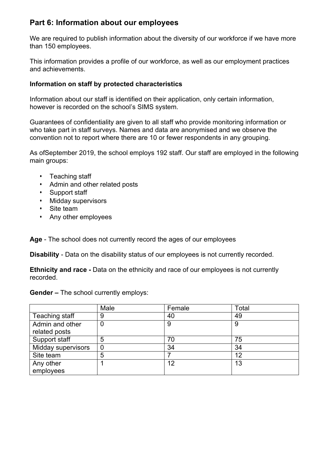## **Part 6: Information about our employees**

We are required to publish information about the diversity of our workforce if we have more than 150 employees.

This information provides a profile of our workforce, as well as our employment practices and achievements.

#### **Information on staff by protected characteristics**

Information about our staff is identified on their application, only certain information, however is recorded on the school's SIMS system.

Guarantees of confidentiality are given to all staff who provide monitoring information or who take part in staff surveys. Names and data are anonymised and we observe the convention not to report where there are 10 or fewer respondents in any grouping.

As ofSeptember 2019, the school employs 192 staff. Our staff are employed in the following main groups:

- Teaching staff
- Admin and other related posts
- Support staff
- Midday supervisors
- Site team
- Any other employees

**Age** - The school does not currently record the ages of our employees

**Disability** - Data on the disability status of our employees is not currently recorded.

**Ethnicity and race -** Data on the ethnicity and race of our employees is not currently recorded.

**Gender –** The school currently employs:

|                    | Male           | Female | Total |
|--------------------|----------------|--------|-------|
| Teaching staff     | 9              | 40     | 49    |
| Admin and other    |                | 9      |       |
| related posts      |                |        |       |
| Support staff      | 5              | 70     | 75    |
| Midday supervisors | $\overline{0}$ | 34     | 34    |
| Site team          | 5              |        | 12    |
| Any other          |                | 12     | 13    |
| employees          |                |        |       |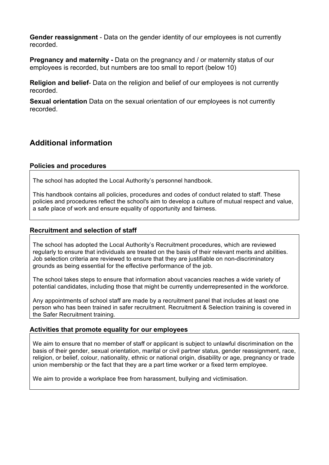**Gender reassignment** - Data on the gender identity of our employees is not currently recorded.

**Pregnancy and maternity -** Data on the pregnancy and / or maternity status of our employees is recorded, but numbers are too small to report (below 10)

**Religion and belief**- Data on the religion and belief of our employees is not currently recorded.

**Sexual orientation** Data on the sexual orientation of our employees is not currently recorded.

## **Additional information**

#### **Policies and procedures**

The school has adopted the Local Authority's personnel handbook.

This handbook contains all policies, procedures and codes of conduct related to staff. These policies and procedures reflect the school's aim to develop a culture of mutual respect and value, a safe place of work and ensure equality of opportunity and fairness.

#### **Recruitment and selection of staff**

The school has adopted the Local Authority's Recruitment procedures, which are reviewed regularly to ensure that individuals are treated on the basis of their relevant merits and abilities. Job selection criteria are reviewed to ensure that they are justifiable on non-discriminatory grounds as being essential for the effective performance of the job.

The school takes steps to ensure that information about vacancies reaches a wide variety of potential candidates, including those that might be currently underrepresented in the workforce.

Any appointments of school staff are made by a recruitment panel that includes at least one person who has been trained in safer recruitment. Recruitment & Selection training is covered in the Safer Recruitment training.

#### **Activities that promote equality for our employees**

We aim to ensure that no member of staff or applicant is subject to unlawful discrimination on the basis of their gender, sexual orientation, marital or civil partner status, gender reassignment, race, religion, or belief, colour, nationality, ethnic or national origin, disability or age, pregnancy or trade union membership or the fact that they are a part time worker or a fixed term employee.

We aim to provide a workplace free from harassment, bullying and victimisation.